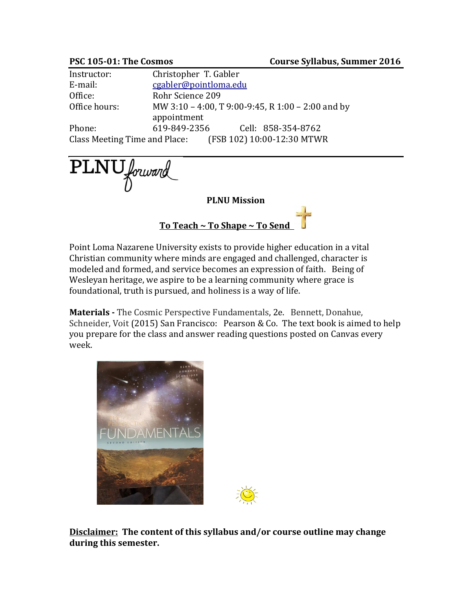| Instructor:                   | Christopher T. Gabler                             |
|-------------------------------|---------------------------------------------------|
| E-mail:                       | cgabler@pointloma.edu                             |
| Office:                       | Rohr Science 209                                  |
| Office hours:                 | MW 3:10 - 4:00, T 9:00-9:45, R 1:00 - 2:00 and by |
|                               | appointment                                       |
| Phone:                        | 619-849-2356<br>Cell: 858-354-8762                |
| Class Meeting Time and Place: | (FSB 102) 10:00-12:30 MTWR                        |

PLNU forward

**PLNU Mission**

**To Teach ~ To Shape ~ To Send** 

Point Loma Nazarene University exists to provide higher education in a vital Christian community where minds are engaged and challenged, character is modeled and formed, and service becomes an expression of faith. Being of Wesleyan heritage, we aspire to be a learning community where grace is foundational, truth is pursued, and holiness is a way of life.

**Materials -** The Cosmic Perspective Fundamentals, 2e. Bennett, Donahue, Schneider, Voit (2015) San Francisco: Pearson & Co. The text book is aimed to help you prepare for the class and answer reading questions posted on Canvas every week.



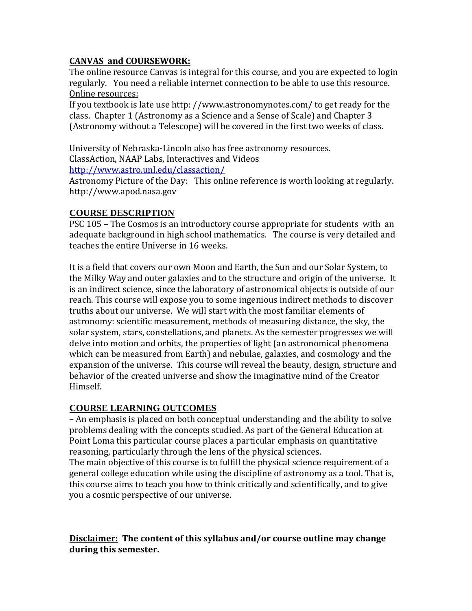# **CANVAS and COURSEWORK:**

The online resource Canvas is integral for this course, and you are expected to login regularly. You need a reliable internet connection to be able to use this resource. Online resources:

If you textbook is late use http: //www.astronomynotes.com/ to get ready for the class. Chapter 1 (Astronomy as a Science and a Sense of Scale) and Chapter 3 (Astronomy without a Telescope) will be covered in the first two weeks of class.

University of Nebraska-Lincoln also has free astronomy resources. ClassAction, NAAP Labs, Interactives and Videos <http://www.astro.unl.edu/classaction/>

Astronomy Picture of the Day: This online reference is worth looking at regularly. http://www.apod.nasa.gov

# **COURSE DESCRIPTION**

**PSC 105 – The Cosmos is an introductory course appropriate for students with an** adequate background in high school mathematics. The course is very detailed and teaches the entire Universe in 16 weeks.

It is a field that covers our own Moon and Earth, the Sun and our Solar System, to the Milky Way and outer galaxies and to the structure and origin of the universe. It is an indirect science, since the laboratory of astronomical objects is outside of our reach. This course will expose you to some ingenious indirect methods to discover truths about our universe. We will start with the most familiar elements of astronomy: scientific measurement, methods of measuring distance, the sky, the solar system, stars, constellations, and planets. As the semester progresses we will delve into motion and orbits, the properties of light (an astronomical phenomena which can be measured from Earth) and nebulae, galaxies, and cosmology and the expansion of the universe. This course will reveal the beauty, design, structure and behavior of the created universe and show the imaginative mind of the Creator Himself.

# **COURSE LEARNING OUTCOMES**

– An emphasis is placed on both conceptual understanding and the ability to solve problems dealing with the concepts studied. As part of the General Education at Point Loma this particular course places a particular emphasis on quantitative reasoning, particularly through the lens of the physical sciences.

The main objective of this course is to fulfill the physical science requirement of a general college education while using the discipline of astronomy as a tool. That is, this course aims to teach you how to think critically and scientifically, and to give you a cosmic perspective of our universe.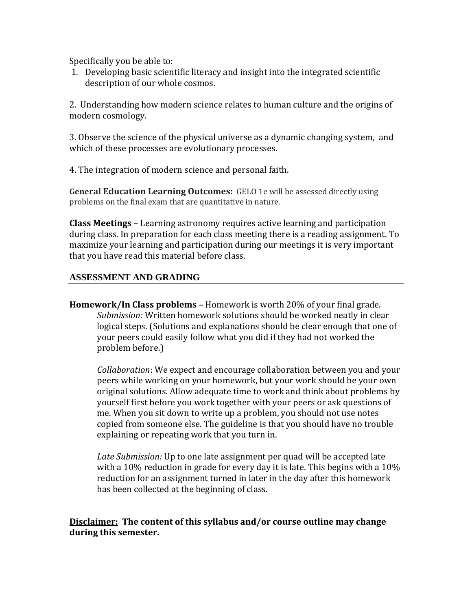Specifically you be able to:

1. Developing basic scientific literacy and insight into the integrated scientific description of our whole cosmos.

2. Understanding how modern science relates to human culture and the origins of modern cosmology.

3. Observe the science of the physical universe as a dynamic changing system, and which of these processes are evolutionary processes.

4. The integration of modern science and personal faith.

**General Education Learning Outcomes:** GELO 1e will be assessed directly using problems on the final exam that are quantitative in nature.

**Class Meetings** – Learning astronomy requires active learning and participation during class. In preparation for each class meeting there is a reading assignment. To maximize your learning and participation during our meetings it is very important that you have read this material before class.

#### **ASSESSMENT AND GRADING**

**Homework/In Class problems –** Homework is worth 20% of your final grade. *Submission:* Written homework solutions should be worked neatly in clear logical steps. (Solutions and explanations should be clear enough that one of your peers could easily follow what you did if they had not worked the problem before.)

*Collaboration*: We expect and encourage collaboration between you and your peers while working on your homework, but your work should be your own original solutions. Allow adequate time to work and think about problems by yourself first before you work together with your peers or ask questions of me. When you sit down to write up a problem, you should not use notes copied from someone else. The guideline is that you should have no trouble explaining or repeating work that you turn in.

*Late Submission:* Up to one late assignment per quad will be accepted late with a 10% reduction in grade for every day it is late. This begins with a 10% reduction for an assignment turned in later in the day after this homework has been collected at the beginning of class.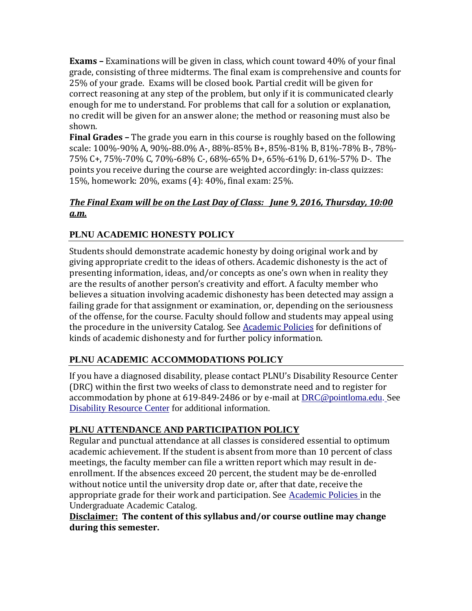**Exams –** Examinations will be given in class, which count toward 40% of your final grade, consisting of three midterms. The final exam is comprehensive and counts for 25% of your grade. Exams will be closed book. Partial credit will be given for correct reasoning at any step of the problem, but only if it is communicated clearly enough for me to understand. For problems that call for a solution or explanation, no credit will be given for an answer alone; the method or reasoning must also be shown.

**Final Grades –** The grade you earn in this course is roughly based on the following scale: 100%-90% A, 90%-88.0% A-, 88%-85% B+, 85%-81% B, 81%-78% B-, 78%- 75% C+, 75%-70% C, 70%-68% C-, 68%-65% D+, 65%-61% D, 61%-57% D-. The points you receive during the course are weighted accordingly: in-class quizzes: 15%, homework: 20%, exams (4): 40%, final exam: 25%.

# *The Final Exam will be on the Last Day of Class: June 9, 2016, Thursday, 10:00 a.m.*

# **PLNU ACADEMIC HONESTY POLICY**

Students should demonstrate academic honesty by doing original work and by giving appropriate credit to the ideas of others. Academic dishonesty is the act of presenting information, ideas, and/or concepts as one's own when in reality they are the results of another person's creativity and effort. A faculty member who believes a situation involving academic dishonesty has been detected may assign a failing grade for that assignment or examination, or, depending on the seriousness of the offense, for the course. Faculty should follow and students may appeal using the procedure in the university Catalog. See [Academic Policies](http://catalog.pointloma.edu/content.php?catoid=18&navoid=1278) for definitions of kinds of academic dishonesty and for further policy information.

# **PLNU ACADEMIC ACCOMMODATIONS POLICY**

If you have a diagnosed disability, please contact PLNU's Disability Resource Center (DRC) within the first two weeks of class to demonstrate need and to register for accommodation by phone at 619-849-2486 or by e-mail at [DRC@pointloma.edu.](mailto:DRC@pointloma.edu) See [Disability Resource Center](http://www.pointloma.edu/experience/offices/administrative-offices/academic-advising-office/disability-resource-center) for additional information.

# **PLNU ATTENDANCE AND PARTICIPATION POLICY**

Regular and punctual attendance at all classes is considered essential to optimum academic achievement. If the student is absent from more than 10 percent of class meetings, the faculty member can file a written report which may result in deenrollment. If the absences exceed 20 percent, the student may be de-enrolled without notice until the university drop date or, after that date, receive the appropriate grade for their work and participation. See [Academic Policies](http://catalog.pointloma.edu/content.php?catoid=18&navoid=1278) in the Undergraduate Academic Catalog.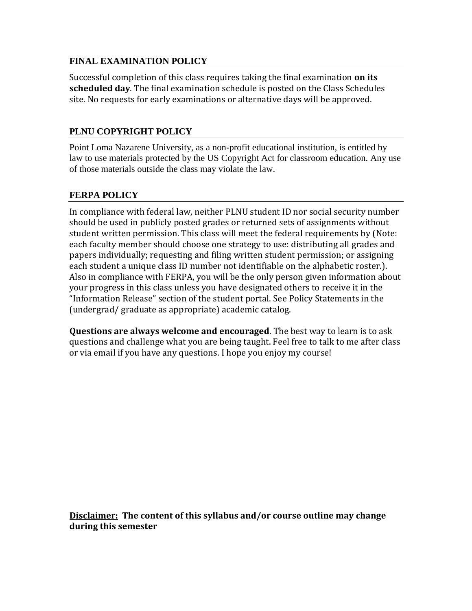#### **FINAL EXAMINATION POLICY**

Successful completion of this class requires taking the final examination **on its scheduled day**. The final examination schedule is posted on the Class Schedules site. No requests for early examinations or alternative days will be approved.

#### **PLNU COPYRIGHT POLICY**

Point Loma Nazarene University, as a non-profit educational institution, is entitled by law to use materials protected by the US Copyright Act for classroom education. Any use of those materials outside the class may violate the law.

#### **FERPA POLICY**

In compliance with federal law, neither PLNU student ID nor social security number should be used in publicly posted grades or returned sets of assignments without student written permission. This class will meet the federal requirements by (Note: each faculty member should choose one strategy to use: distributing all grades and papers individually; requesting and filing written student permission; or assigning each student a unique class ID number not identifiable on the alphabetic roster.). Also in compliance with FERPA, you will be the only person given information about your progress in this class unless you have designated others to receive it in the "Information Release" section of the student portal. See Policy Statements in the (undergrad/ graduate as appropriate) academic catalog.

**Questions are always welcome and encouraged**. The best way to learn is to ask questions and challenge what you are being taught. Feel free to talk to me after class or via email if you have any questions. I hope you enjoy my course!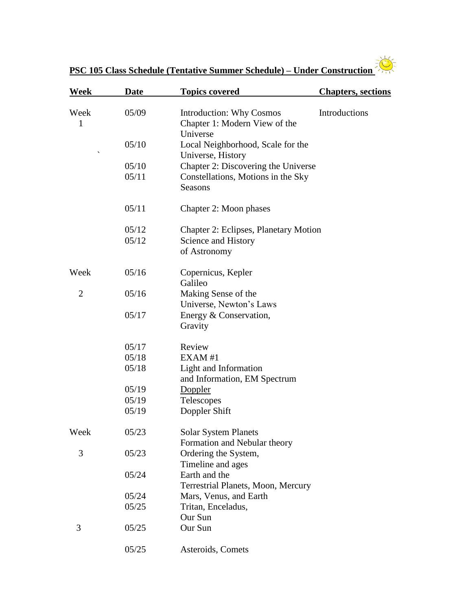

| Week           | <b>Date</b> | <b>Topics covered</b>                                                        | <b>Chapters, sections</b> |
|----------------|-------------|------------------------------------------------------------------------------|---------------------------|
| Week<br>1      | 05/09       | <b>Introduction: Why Cosmos</b><br>Chapter 1: Modern View of the<br>Universe | Introductions             |
|                | 05/10       | Local Neighborhood, Scale for the<br>Universe, History                       |                           |
|                | 05/10       | Chapter 2: Discovering the Universe                                          |                           |
|                | 05/11       | Constellations, Motions in the Sky<br><b>Seasons</b>                         |                           |
|                | 05/11       | Chapter 2: Moon phases                                                       |                           |
|                | 05/12       | Chapter 2: Eclipses, Planetary Motion                                        |                           |
|                | 05/12       | Science and History<br>of Astronomy                                          |                           |
| Week           | 05/16       | Copernicus, Kepler<br>Galileo                                                |                           |
| $\overline{2}$ | 05/16       | Making Sense of the<br>Universe, Newton's Laws                               |                           |
|                | 05/17       | Energy & Conservation,<br>Gravity                                            |                           |
|                | 05/17       | Review                                                                       |                           |
|                | 05/18       | EXAM#1                                                                       |                           |
|                | 05/18       | Light and Information<br>and Information, EM Spectrum                        |                           |
|                | 05/19       | Doppler                                                                      |                           |
|                | 05/19       | Telescopes                                                                   |                           |
|                | 05/19       | Doppler Shift                                                                |                           |
| Week           | 05/23       | <b>Solar System Planets</b><br>Formation and Nebular theory                  |                           |
| 3              | 05/23       | Ordering the System,<br>Timeline and ages                                    |                           |
|                | 05/24       | Earth and the<br>Terrestrial Planets, Moon, Mercury                          |                           |
|                | 05/24       | Mars, Venus, and Earth                                                       |                           |
|                | 05/25       | Tritan, Enceladus,<br>Our Sun                                                |                           |
| 3              | 05/25       | Our Sun                                                                      |                           |
|                | 05/25       | Asteroids, Comets                                                            |                           |

**PSC 105 Class Schedule (Tentative Summer Schedule) – Under Construction**